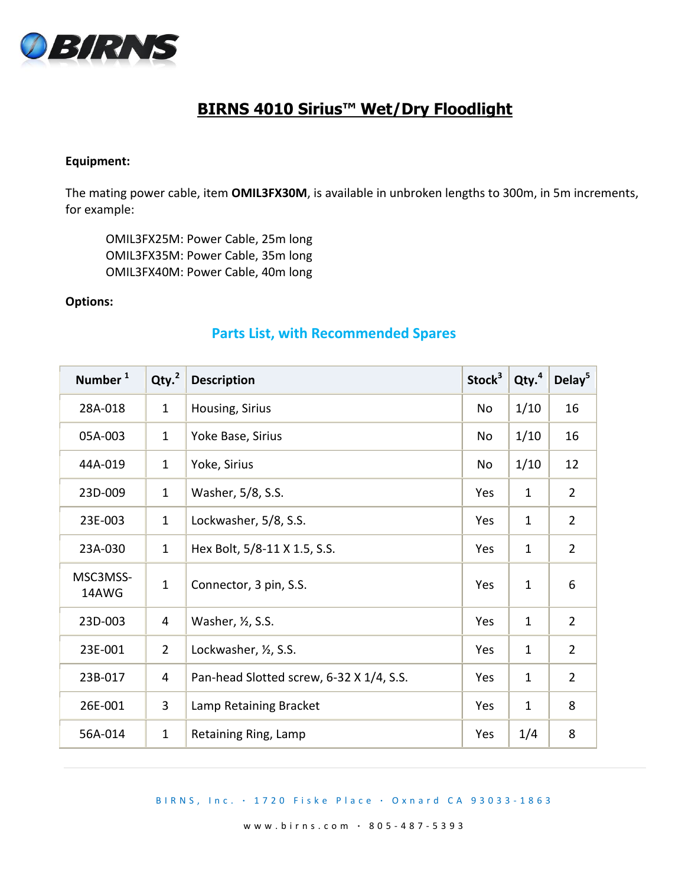

# **BIRNS 4010 Sirius™ Wet/Dry Floodlight**

## **Equipment:**

The mating power cable, item **OMIL3FX30M**, is available in unbroken lengths to 300m, in 5m increments, for example:

OMIL3FX25M: Power Cable, 25m long OMIL3FX35M: Power Cable, 35m long OMIL3FX40M: Power Cable, 40m long

### **Options:**

# **Parts List, with Recommended Spares**

| Number <sup>1</sup> | Qty. <sup>2</sup> | <b>Description</b>                       | Stock <sup>3</sup> | Qty. <sup>4</sup> | Delay <sup>5</sup> |
|---------------------|-------------------|------------------------------------------|--------------------|-------------------|--------------------|
| 28A-018             | $\mathbf{1}$      | Housing, Sirius                          | No                 | 1/10              | 16                 |
| 05A-003             | $\mathbf{1}$      | Yoke Base, Sirius                        | No                 | 1/10              | 16                 |
| 44A-019             | $\mathbf{1}$      | Yoke, Sirius                             | <b>No</b>          | 1/10              | 12                 |
| 23D-009             | $\mathbf{1}$      | Washer, 5/8, S.S.                        | Yes                | $\mathbf{1}$      | $\overline{2}$     |
| 23E-003             | $\mathbf{1}$      | Lockwasher, 5/8, S.S.                    | Yes                | $\mathbf{1}$      | $\overline{2}$     |
| 23A-030             | $\mathbf{1}$      | Hex Bolt, 5/8-11 X 1.5, S.S.             | Yes                | $\mathbf{1}$      | $\overline{2}$     |
| MSC3MSS-<br>14AWG   | $\mathbf{1}$      | Connector, 3 pin, S.S.                   | Yes                | $\mathbf{1}$      | 6                  |
| 23D-003             | 4                 | Washer, 1/2, S.S.                        | Yes                | $\mathbf{1}$      | $\overline{2}$     |
| 23E-001             | $\overline{2}$    | Lockwasher, 1/2, S.S.                    | Yes                | $\mathbf{1}$      | $\overline{2}$     |
| 23B-017             | 4                 | Pan-head Slotted screw, 6-32 X 1/4, S.S. | Yes                | $\mathbf{1}$      | $\overline{2}$     |
| 26E-001             | 3                 | Lamp Retaining Bracket                   | Yes                | $\mathbf{1}$      | 8                  |
| 56A-014             | $\mathbf{1}$      | Retaining Ring, Lamp                     | Yes                | 1/4               | 8                  |

#### B I R N S , I n c . **∙** 1 7 2 0 F i s k e P l a c e **∙** O x n a r d C A 9 3 0 3 3 - 186 3